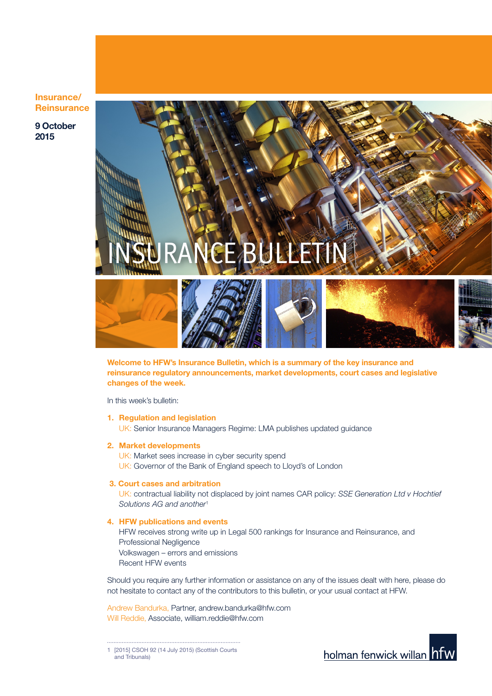Insurance/ **Reinsurance** 

9 October 2015



Welcome to HFW's Insurance Bulletin, which is a summary of the key insurance and reinsurance regulatory announcements, market developments, court cases and legislative changes of the week.

In this week's bulletin:

- 1. Regulation and legislation UK: Senior Insurance Managers Regime: LMA publishes updated guidance
- 2. Market developments

UK: Market sees increase in cyber security spend UK: Governor of the Bank of England speech to Lloyd's of London

#### 3. Court cases and arbitration

UK: contractual liability not displaced by joint names CAR policy: *SSE Generation Ltd v Hochtief Solutions AG and another*<sup>1</sup>

4. HFW publications and events

HFW receives strong write up in Legal 500 rankings for Insurance and Reinsurance, and Professional Negligence Volkswagen – errors and emissions Recent HFW events

Should you require any further information or assistance on any of the issues dealt with here, please do not hesitate to contact any of the contributors to this bulletin, or your usual contact at HFW.

Andrew Bandurka, Partner, andrew.bandurka@hfw.com Will Reddie, Associate, william.reddie@hfw.com

1 [2015] CSOH 92 (14 July 2015) (Scottish Courts and Tribunals)

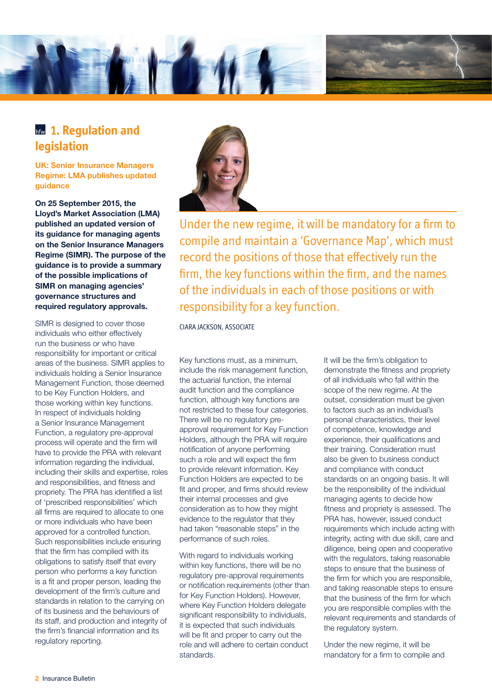

### **hfw 1. Requlation and legislation**

UK: Senior Insurance Managers Regime: LMA publishes updated guidance

On 25 September 2015, the Lloyd's Market Association (LMA) published an updated version of its guidance for managing agents on the Senior Insurance Managers Regime (SIMR). The purpose of the guidance is to provide a summary of the possible implications of SIMR on managing agencies' governance structures and required regulatory approvals.

SIMR is designed to cover those individuals who either effectively run the business or who have responsibility for important or critical areas of the business. SIMR applies to individuals holding a Senior Insurance Management Function, those deemed to be Key Function Holders, and those working within key functions. In respect of individuals holding a Senior Insurance Management Function, a regulatory pre-approval process will operate and the firm will have to provide the PRA with relevant information regarding the individual, including their skills and expertise, roles and responsibilities, and fitness and propriety. The PRA has identified a list of 'prescribed responsibilities' which all firms are required to allocate to one or more individuals who have been approved for a controlled function. Such responsibilities include ensuring that the firm has complied with its obligations to satisfy itself that every person who performs a key function is a fit and proper person, leading the development of the firm's culture and standards in relation to the carrying on of its business and the behaviours of its staff, and production and integrity of the firm's financial information and its regulatory reporting.



Under the new regime, it will be mandatory for a firm to compile and maintain a 'Governance Map', which must record the positions of those that effectively run the firm, the key functions within the firm, and the names of the individuals in each of those positions or with responsibility for a key function.

CIARA JACKSON, ASSOCIATE

Key functions must, as a minimum, include the risk management function, the actuarial function, the internal audit function and the compliance function, although key functions are not restricted to these four categories. There will be no regulatory preapproval requirement for Key Function Holders, although the PRA will require notification of anyone performing such a role and will expect the firm to provide relevant information. Key Function Holders are expected to be fit and proper, and firms should review their internal processes and give consideration as to how they might evidence to the regulator that they had taken "reasonable steps" in the performance of such roles.

With regard to individuals working within key functions, there will be no regulatory pre-approval requirements or notification requirements (other than for Key Function Holders). However, where Key Function Holders delegate significant responsibility to individuals, it is expected that such individuals will be fit and proper to carry out the role and will adhere to certain conduct standards.

It will be the firm's obligation to demonstrate the fitness and propriety of all individuals who fall within the scope of the new regime. At the outset, consideration must be given to factors such as an individual's personal characteristics, their level of competence, knowledge and experience, their qualifications and their training. Consideration must also be given to business conduct and compliance with conduct standards on an ongoing basis. It will be the responsibility of the individual managing agents to decide how fitness and propriety is assessed. The PRA has, however, issued conduct requirements which include acting with integrity, acting with due skill, care and diligence, being open and cooperative with the regulators, taking reasonable steps to ensure that the business of the firm for which you are responsible, and taking reasonable steps to ensure that the business of the firm for which you are responsible complies with the relevant requirements and standards of the regulatory system.

Under the new regime, it will be mandatory for a firm to compile and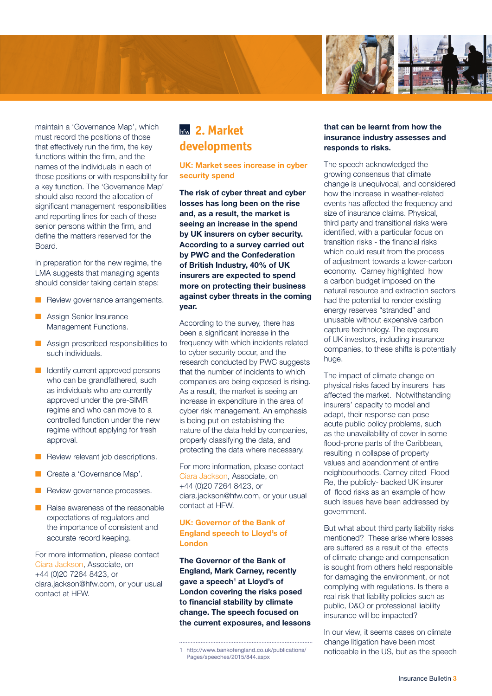

maintain a 'Governance Map', which must record the positions of those that effectively run the firm, the key functions within the firm, and the names of the individuals in each of those positions or with responsibility for a key function. The 'Governance Map' should also record the allocation of significant management responsibilities and reporting lines for each of these senior persons within the firm, and define the matters reserved for the Board.

In preparation for the new regime, the LMA suggests that managing agents should consider taking certain steps:

- **n** Review governance arrangements.
- **n** Assign Senior Insurance Management Functions.
- **n** Assign prescribed responsibilities to such individuals.
- $\blacksquare$  Identify current approved persons who can be grandfathered, such as individuals who are currently approved under the pre-SIMR regime and who can move to a controlled function under the new regime without applying for fresh approval.
- Review relevant job descriptions.
- Create a 'Governance Map'.
- **n** Review governance processes.
- $\blacksquare$  Raise awareness of the reasonable expectations of regulators and the importance of consistent and accurate record keeping.

For more information, please contact Ciara Jackson, Associate, on +44 (0)20 7264 8423, or ciara.jackson@hfw.com, or your usual contact at HFW.

### **2. Market developments**

#### UK: Market sees increase in cyber security spend

The risk of cyber threat and cyber losses has long been on the rise and, as a result, the market is seeing an increase in the spend by UK insurers on cyber security. According to a survey carried out by PWC and the Confederation of British Industry, 40% of UK insurers are expected to spend more on protecting their business against cyber threats in the coming year.

According to the survey, there has been a significant increase in the frequency with which incidents related to cyber security occur, and the research conducted by PWC suggests that the number of incidents to which companies are being exposed is rising. As a result, the market is seeing an increase in expenditure in the area of cyber risk management. An emphasis is being put on establishing the nature of the data held by companies, properly classifying the data, and protecting the data where necessary.

For more information, please contact Ciara Jackson, Associate, on +44 (0)20 7264 8423, or ciara.jackson@hfw.com, or your usual contact at HFW.

#### UK: Governor of the Bank of England speech to Lloyd's of London

The Governor of the Bank of England, Mark Carney, recently gave a speech<sup>1</sup> at Lloyd's of London covering the risks posed to financial stability by climate change. The speech focused on the current exposures, and lessons

#### that can be learnt from how the insurance industry assesses and responds to risks.

The speech acknowledged the growing consensus that climate change is unequivocal, and considered how the increase in weather-related events has affected the frequency and size of insurance claims. Physical, third party and transitional risks were identified, with a particular focus on transition risks - the financial risks which could result from the process of adjustment towards a lower-carbon economy. Carney highlighted how a carbon budget imposed on the natural resource and extraction sectors had the potential to render existing energy reserves "stranded" and unusable without expensive carbon capture technology. The exposure of UK investors, including insurance companies, to these shifts is potentially huge.

The impact of climate change on physical risks faced by insurers has affected the market. Notwithstanding insurers' capacity to model and adapt, their response can pose acute public policy problems, such as the unavailability of cover in some flood-prone parts of the Caribbean, resulting in collapse of property values and abandonment of entire neighbourhoods. Carney cited Flood Re, the publicly- backed UK insurer of flood risks as an example of how such issues have been addressed by government.

But what about third party liability risks mentioned? These arise where losses are suffered as a result of the effects of climate change and compensation is sought from others held responsible for damaging the environment, or not complying with regulations. Is there a real risk that liability policies such as public, D&O or professional liability insurance will be impacted?

In our view, it seems cases on climate change litigation have been most noticeable in the US, but as the speech

<sup>1</sup> [http://www.bankofengland.co.uk/publications/](http://www.bankofengland.co.uk/publications/Pages/speeches/2015/844.aspx) [Pages/speeches/2015/844.aspx](http://www.bankofengland.co.uk/publications/Pages/speeches/2015/844.aspx)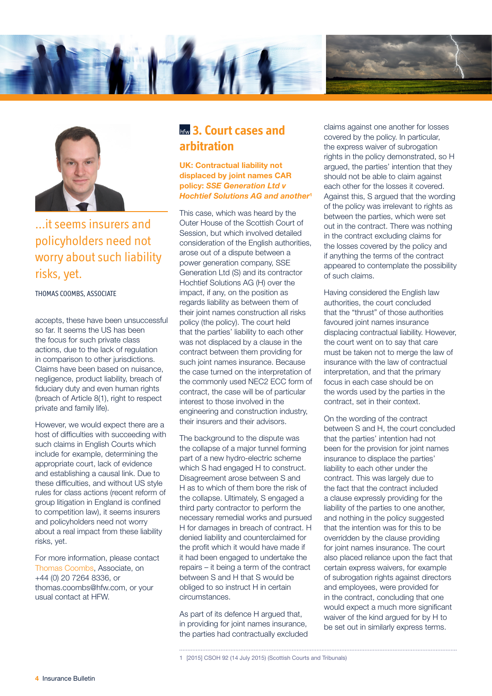



### ...it seems insurers and policyholders need not worry about such liability risks, yet.

#### THOMAS COOMBS, ASSOCIATE

accepts, these have been unsuccessful so far. It seems the US has been the focus for such private class actions, due to the lack of regulation in comparison to other jurisdictions. Claims have been based on nuisance, negligence, product liability, breach of fiduciary duty and even human rights (breach of Article 8(1), right to respect private and family life).

However, we would expect there are a host of difficulties with succeeding with such claims in English Courts which include for example, determining the appropriate court, lack of evidence and establishing a causal link. Due to these difficulties, and without US style rules for class actions (recent reform of group litigation in England is confined to competition law), it seems insurers and policyholders need not worry about a real impact from these liability risks, yet.

For more information, please contact Thomas Coombs, Associate, on +44 (0) 20 7264 8336, or thomas.coombs@hfw.com, or your usual contact at HFW.

### **bfw** 3. Court cases and **arbitration**

UK: Contractual liability not displaced by joint names CAR policy: *SSE Generation Ltd v Hochtief Solutions AG and another*<sup>1</sup>

This case, which was heard by the Outer House of the Scottish Court of Session, but which involved detailed consideration of the English authorities, arose out of a dispute between a power generation company, SSE Generation Ltd (S) and its contractor Hochtief Solutions AG (H) over the impact, if any, on the position as regards liability as between them of their joint names construction all risks policy (the policy). The court held that the parties' liability to each other was not displaced by a clause in the contract between them providing for such joint names insurance. Because the case turned on the interpretation of the commonly used NEC2 ECC form of contract, the case will be of particular interest to those involved in the engineering and construction industry, their insurers and their advisors.

The background to the dispute was the collapse of a major tunnel forming part of a new hydro-electric scheme which S had engaged H to construct. Disagreement arose between S and H as to which of them bore the risk of the collapse. Ultimately, S engaged a third party contractor to perform the necessary remedial works and pursued H for damages in breach of contract. H denied liability and counterclaimed for the profit which it would have made if it had been engaged to undertake the repairs – it being a term of the contract between S and H that S would be obliged to so instruct H in certain circumstances.

As part of its defence H argued that, in providing for joint names insurance, the parties had contractually excluded claims against one another for losses covered by the policy. In particular, the express waiver of subrogation rights in the policy demonstrated, so H argued, the parties' intention that they should not be able to claim against each other for the losses it covered. Against this, S argued that the wording of the policy was irrelevant to rights as between the parties, which were set out in the contract. There was nothing in the contract excluding claims for the losses covered by the policy and if anything the terms of the contract appeared to contemplate the possibility of such claims.

Having considered the English law authorities, the court concluded that the "thrust" of those authorities favoured joint names insurance displacing contractual liability. However, the court went on to say that care must be taken not to merge the law of insurance with the law of contractual interpretation, and that the primary focus in each case should be on the words used by the parties in the contract, set in their context.

On the wording of the contract between S and H, the court concluded that the parties' intention had not been for the provision for joint names insurance to displace the parties' liability to each other under the contract. This was largely due to the fact that the contract included a clause expressly providing for the liability of the parties to one another, and nothing in the policy suggested that the intention was for this to be overridden by the clause providing for joint names insurance. The court also placed reliance upon the fact that certain express waivers, for example of subrogation rights against directors and employees, were provided for in the contract, concluding that one would expect a much more significant waiver of the kind argued for by H to be set out in similarly express terms.

```
1 [2015] CSOH 92 (14 July 2015) (Scottish Courts and Tribunals)
```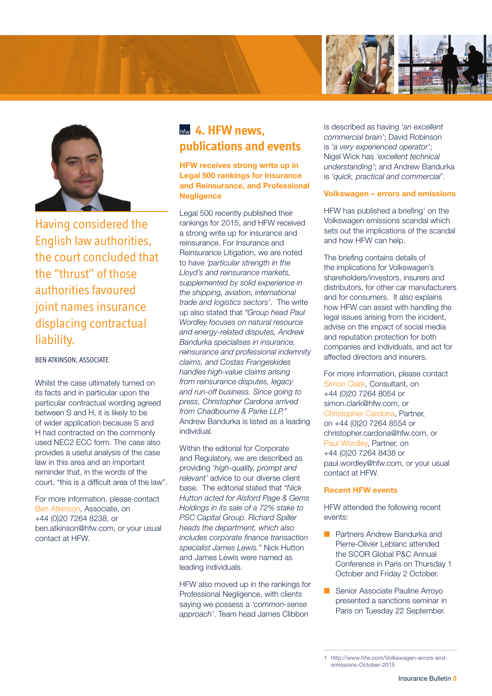



Having considered the English law authorities, the court concluded that the "thrust" of those authorities favoured joint names insurance displacing contractual liability.

#### BEN ATKINSON, ASSOCIATE

Whilst the case ultimately turned on its facts and in particular upon the particular contractual wording agreed between S and H, it is likely to be of wider application because S and H had contracted on the commonly used NEC2 ECC form. The case also provides a useful analysis of the case law in this area and an important reminder that, in the words of the court, "this is a difficult area of the law".

For more information, please contact Ben Atkinson, Associate, on +44 (0)20 7264 8238, or ben.atkinson@hfw.com, or your usual contact at HFW.

## **hfw** 4. HFW news, **publications and events**

HFW receives strong write up in Legal 500 rankings for Insurance and Reinsurance, and Professional **Negligence** 

Legal 500 recently published their rankings for 2015, and HFW received a strong write up for insurance and reinsurance. For Insurance and Reinsurance Litigation, we are noted to have *'particular strength in the Lloyd's and reinsurance markets, supplemented by solid experience in the shipping, aviation, international trade and logistics sectors'*. The write up also stated that *"Group head Paul Wordley focuses on natural resource and energy-related disputes, Andrew Bandurka specialises in insurance, reinsurance and professional indemnity claims, and Costas Frangeskides handles high-value claims arising from reinsurance disputes, legacy and run-off business. Since going to press, Christopher Cardona arrived from Chadbourne & Parke LLP."* Andrew Bandurka is listed as a leading individual.

Within the editorial for Corporate and Regulatory, we are described as providing *'high-quality, prompt and relevant'* advice to our diverse client base. The editorial stated that *"Nick Hutton acted for Alsford Page & Gems Holdings in its sale of a 72% stake to PSC Capital Group. Richard Spiller heads the department, which also includes corporate finance transaction specialist James Lewis."* Nick Hutton and James Lewis were named as leading individuals.

HFW also moved up in the rankings for Professional Negligence, with clients saying we possess a *'common-sense approach'*. Team head James Clibbon

is described as having *'an excellent commercial brain'*; David Robinson is *'a very experienced operator'*; Nigel Wick has *'excellent technical understanding'*; and Andrew Bandurka is *'quick, practical and commercial'*.

#### Volkswagen – errors and emissions

HFW has published a briefing<sup>1</sup> on the Volkswagen emissions scandal which sets out the implications of the scandal and how HFW can help.

The briefing contains details of the implications for Volkswagen's shareholders/investors, insurers and distributors, for other car manufacturers and for consumers. It also explains how HFW can assist with handling the legal issues arising from the incident, advise on the impact of social media and reputation protection for both companies and individuals, and act for affected directors and insurers.

For more information, please contact Simon Clark, Consultant, on +44 (0)20 7264 8054 or simon.clark@hfw.com, or Christopher Cardona, Partner, on +44 (0)20 7264 8554 or christopher.cardona@hfw.com, or Paul Wordley, Partner, on +44 (0)20 7264 8438 or paul.wordley@hfw.com, or your usual contact at HFW.

#### Recent HFW events

HFW attended the following recent events:

- n Partners Andrew Bandurka and Pierre-Olivier Leblanc attended the SCOR Global P&C Annual Conference in Paris on Thursday 1 October and Friday 2 October.
- **n** Senior Associate Pauline Arroyo presented a sanctions seminar in Paris on Tuesday 22 September.

<sup>1</sup> [http://www.hfw.com/Volkswagen-errors-and](http://www.hfw.com/Volkswagen-errors-and-emissions-October-2015)[emissions-October-2015](http://www.hfw.com/Volkswagen-errors-and-emissions-October-2015)